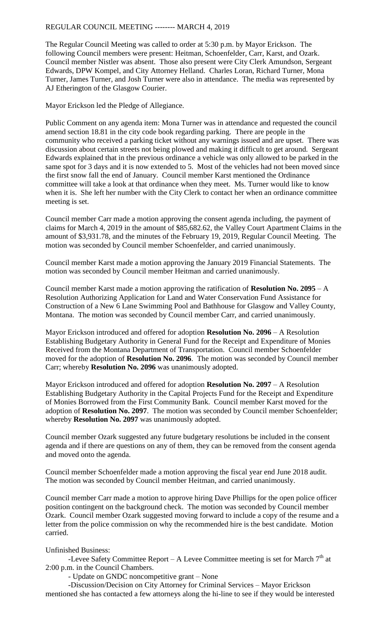The Regular Council Meeting was called to order at 5:30 p.m. by Mayor Erickson. The following Council members were present: Heitman, Schoenfelder, Carr, Karst, and Ozark. Council member Nistler was absent. Those also present were City Clerk Amundson, Sergeant Edwards, DPW Kompel, and City Attorney Helland. Charles Loran, Richard Turner, Mona Turner, James Turner, and Josh Turner were also in attendance. The media was represented by AJ Etherington of the Glasgow Courier.

Mayor Erickson led the Pledge of Allegiance.

Public Comment on any agenda item: Mona Turner was in attendance and requested the council amend section 18.81 in the city code book regarding parking. There are people in the community who received a parking ticket without any warnings issued and are upset. There was discussion about certain streets not being plowed and making it difficult to get around. Sergeant Edwards explained that in the previous ordinance a vehicle was only allowed to be parked in the same spot for 3 days and it is now extended to 5. Most of the vehicles had not been moved since the first snow fall the end of January. Council member Karst mentioned the Ordinance committee will take a look at that ordinance when they meet. Ms. Turner would like to know when it is. She left her number with the City Clerk to contact her when an ordinance committee meeting is set.

Council member Carr made a motion approving the consent agenda including, the payment of claims for March 4, 2019 in the amount of \$85,682.62, the Valley Court Apartment Claims in the amount of \$3,931.78, and the minutes of the February 19, 2019, Regular Council Meeting. The motion was seconded by Council member Schoenfelder, and carried unanimously.

Council member Karst made a motion approving the January 2019 Financial Statements. The motion was seconded by Council member Heitman and carried unanimously.

Council member Karst made a motion approving the ratification of **Resolution No. 2095** – A Resolution Authorizing Application for Land and Water Conservation Fund Assistance for Construction of a New 6 Lane Swimming Pool and Bathhouse for Glasgow and Valley County, Montana. The motion was seconded by Council member Carr, and carried unanimously.

Mayor Erickson introduced and offered for adoption **Resolution No. 2096** – A Resolution Establishing Budgetary Authority in General Fund for the Receipt and Expenditure of Monies Received from the Montana Department of Transportation. Council member Schoenfelder moved for the adoption of **Resolution No. 2096**. The motion was seconded by Council member Carr; whereby **Resolution No. 2096** was unanimously adopted.

Mayor Erickson introduced and offered for adoption **Resolution No. 2097** – A Resolution Establishing Budgetary Authority in the Capital Projects Fund for the Receipt and Expenditure of Monies Borrowed from the First Community Bank. Council member Karst moved for the adoption of **Resolution No. 2097**. The motion was seconded by Council member Schoenfelder; whereby **Resolution No. 2097** was unanimously adopted.

Council member Ozark suggested any future budgetary resolutions be included in the consent agenda and if there are questions on any of them, they can be removed from the consent agenda and moved onto the agenda.

Council member Schoenfelder made a motion approving the fiscal year end June 2018 audit. The motion was seconded by Council member Heitman, and carried unanimously.

Council member Carr made a motion to approve hiring Dave Phillips for the open police officer position contingent on the background check. The motion was seconded by Council member Ozark. Council member Ozark suggested moving forward to include a copy of the resume and a letter from the police commission on why the recommended hire is the best candidate. Motion carried.

## Unfinished Business:

-Levee Safety Committee Report – A Levee Committee meeting is set for March  $7<sup>th</sup>$  at 2:00 p.m. in the Council Chambers.

- Update on GNDC noncompetitive grant – None

-Discussion/Decision on City Attorney for Criminal Services – Mayor Erickson mentioned she has contacted a few attorneys along the hi-line to see if they would be interested